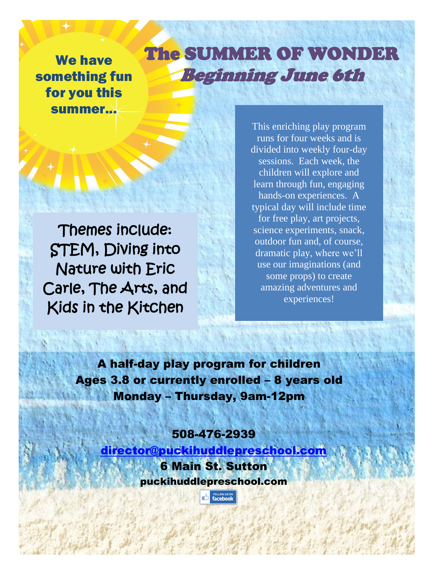We have something fun for you this summer...

## The SUMMER OF WONDER Beginning June 6th

ļ

Themes include: STEM, Diving into Nature with Eric Carle, The Arts, and Kids in the Kitchen

This enriching play program runs for four weeks and is divided into weekly four-day sessions. Each week, the children will explore and learn through fun, engaging hands-on experiences. A typical day will include time for free play, art projects, science experiments, snack, outdoor fun and, of course, dramatic play, where we'll use our imaginations (and some props) to create amazing adventures and experiences!

A half-day play program for children Ages 3.8 or currently enrolled – 8 years old Monday – Thursday, 9am-12pm

#### 508-476-2939

[director@puckihuddlepreschool.com](mailto:director@puckihuddlepreschool.com) 6 Main St. Sutton puckihuddlepreschool.com

**The FOLLOW US ON**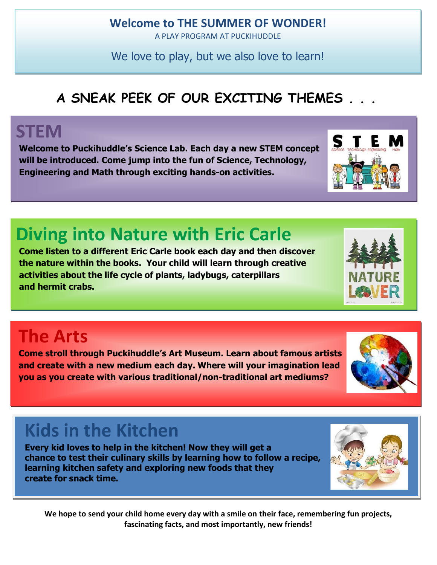#### **Welcome to THE SUMMER OF WONDER!**

A PLAY PROGRAM AT PUCKIHUDDLE

We love to play, but we also love to learn!

### **A SNEAK PEEK OF OUR EXCITING THEMES . . .**

## **STEM**

**Welcome to Puckihuddle's Science Lab. Each day a new STEM concept will be introduced. Come jump into the fun of Science, Technology, Engineering and Math through exciting hands-on activities.**

## **Diving into Nature with Eric Carle**

**Come listen to a different Eric Carle book each day and then discover the nature within the books. Your child will learn through creative activities about the life cycle of plants, ladybugs, caterpillars and hermit crabs.**

# **The Arts**

**Come stroll through Puckihuddle's Art Museum. Learn about famous artists and create with a new medium each day. Where will your imagination lead you as you create with various traditional/non-traditional art mediums?**

# **Kids in the Kitchen**

**Every kid loves to help in the kitchen! Now they will get a chance to test their culinary skills by learning how to follow a recipe, learning kitchen safety and exploring new foods that they create for snack time.** 

**We hope to send your child home every day with a smile on their face, remembering fun projects, fascinating facts, and most importantly, new friends!**





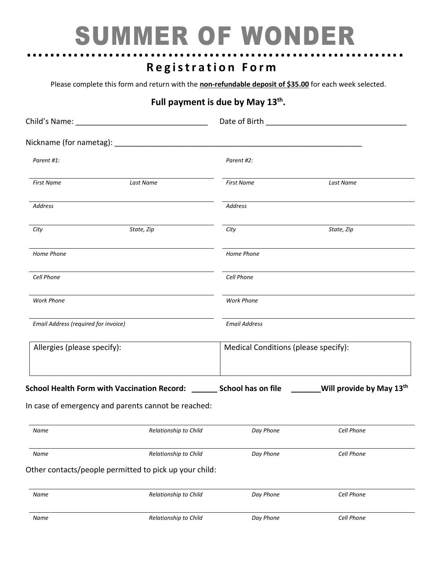# ………………………………………………………. SUMMER OF WONDER

# **R e g i s t r a t i o n F o r m**

Please complete this form and return with the **non-refundable deposit of \$35.00** for each week selected.

#### Full payment is due by May 13<sup>th</sup>.

| Parent #1:                           |                                                                                                                                   | Parent #2:                           |            |  |
|--------------------------------------|-----------------------------------------------------------------------------------------------------------------------------------|--------------------------------------|------------|--|
| <b>First Name</b>                    | Last Name                                                                                                                         | <b>First Name</b>                    | Last Name  |  |
| <b>Address</b>                       |                                                                                                                                   | Address                              |            |  |
| City                                 | State, Zip                                                                                                                        | City                                 | State, Zip |  |
| Home Phone                           |                                                                                                                                   | Home Phone                           |            |  |
| Cell Phone                           |                                                                                                                                   | Cell Phone                           |            |  |
| <b>Work Phone</b>                    |                                                                                                                                   | <b>Work Phone</b>                    |            |  |
| Email Address (required for invoice) |                                                                                                                                   | <b>Email Address</b>                 |            |  |
| Allergies (please specify):          |                                                                                                                                   | Medical Conditions (please specify): |            |  |
|                                      | School Health Form with Vaccination Record: _______ School has on file $\qquad \qquad$ ______Will provide by May 13 <sup>th</sup> |                                      |            |  |
|                                      | In case of emergency and parents cannot be reached:                                                                               |                                      |            |  |
| Name                                 | Relationship to Child                                                                                                             | Day Phone                            | Cell Phone |  |
| Name                                 | Relationship to Child                                                                                                             | Day Phone                            | Cell Phone |  |
|                                      | Other contacts/people permitted to pick up your child:                                                                            |                                      |            |  |
| Name                                 | Relationship to Child                                                                                                             | Day Phone                            | Cell Phone |  |
|                                      |                                                                                                                                   |                                      |            |  |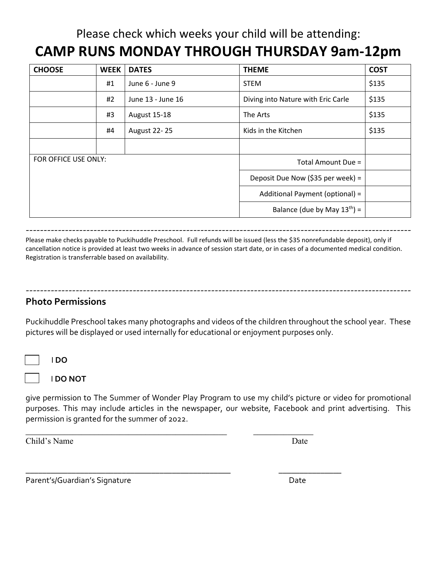### Please check which weeks your child will be attending: **CAMP RUNS MONDAY THROUGH THURSDAY 9am-12pm**

| <b>CHOOSE</b>        | <b>WEEK</b> | <b>DATES</b>        | <b>THEME</b>                       | <b>COST</b> |
|----------------------|-------------|---------------------|------------------------------------|-------------|
|                      | #1          | June 6 - June 9     | <b>STEM</b>                        | \$135       |
|                      | #2          | June 13 - June 16   | Diving into Nature with Eric Carle | \$135       |
|                      | #3          | August 15-18        | The Arts                           | \$135       |
|                      | #4          | <b>August 22-25</b> | Kids in the Kitchen                | \$135       |
|                      |             |                     |                                    |             |
| FOR OFFICE USE ONLY: |             |                     | Total Amount Due =                 |             |
|                      |             |                     | Deposit Due Now (\$35 per week) =  |             |
|                      |             |                     | Additional Payment (optional) =    |             |
|                      |             |                     | Balance (due by May $13^{th}$ ) =  |             |

------------------------------------------------------------------------------------------------------------ Please make checks payable to Puckihuddle Preschool. Full refunds will be issued (less the \$35 nonrefundable deposit), only if cancellation notice is provided at least two weeks in advance of session start date, or in cases of a documented medical condition. Registration is transferrable based on availability.

#### **Photo Permissions**

Puckihuddle Preschool takes many photographs and videos of the children throughout the school year. These pictures will be displayed or used internally for educational or enjoyment purposes only.

------------------------------------------------------------------------------------------------------------

I **DO**

I **DO NOT**

give permission to The Summer of Wonder Play Program to use my child's picture or video for promotional purposes. This may include articles in the newspaper, our website, Facebook and print advertising. This permission is granted for the summer of 2022.

\_\_\_\_\_\_\_\_\_\_\_\_\_\_\_\_\_\_\_\_\_\_\_\_\_\_\_\_\_\_\_\_\_\_\_\_\_\_\_\_\_\_\_\_\_\_\_ \_\_\_\_\_\_\_\_\_\_\_\_\_\_

\_\_\_\_\_\_\_\_\_\_\_\_\_\_\_\_\_\_\_\_\_\_\_\_\_\_\_\_\_\_\_\_\_\_\_\_\_\_\_\_\_\_\_\_\_\_\_\_\_ \_\_\_\_\_\_\_\_\_\_\_\_\_\_\_

Child's Name Date

Parent's/Guardian's Signature data and the Date of Date